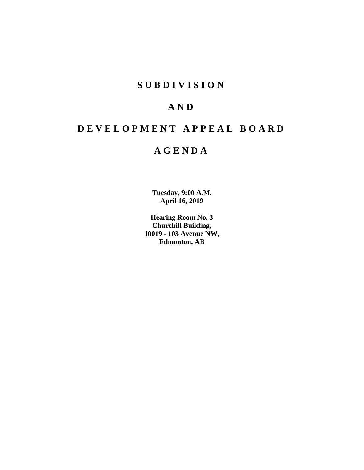# **SUBDIVISION**

# **AND**

# **DEVELOPMENT APPEAL BOARD**

# **AGENDA**

**Tuesday, 9:00 A.M. April 16, 2019**

**Hearing Room No. 3 Churchill Building, 10019 - 103 Avenue NW, Edmonton, AB**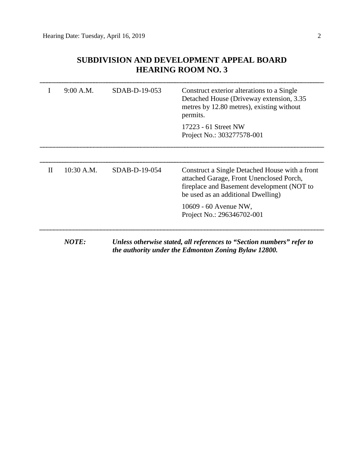# **SUBDIVISION AND DEVELOPMENT APPEAL BOARD HEARING ROOM NO. 3**

| Ι.           | 9:00 A.M.  | SDAB-D-19-053 | Construct exterior alterations to a Single<br>Detached House (Driveway extension, 3.35)<br>metres by 12.80 metres), existing without<br>permits.                               |
|--------------|------------|---------------|--------------------------------------------------------------------------------------------------------------------------------------------------------------------------------|
|              |            |               | 17223 - 61 Street NW<br>Project No.: 303277578-001                                                                                                                             |
| $\mathbf{H}$ | 10:30 A.M. | SDAB-D-19-054 | Construct a Single Detached House with a front<br>attached Garage, Front Unenclosed Porch,<br>fireplace and Basement development (NOT to<br>be used as an additional Dwelling) |
|              |            |               | 10609 - 60 Avenue NW,<br>Project No.: 296346702-001                                                                                                                            |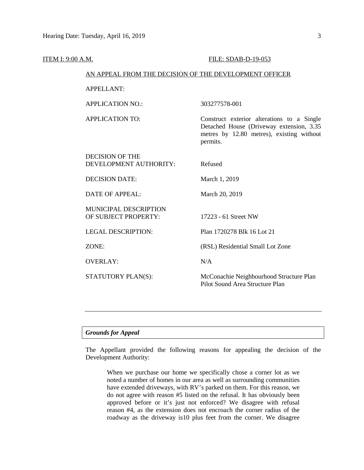# ITEM I: 9:00 A.M. FILE: SDAB-D-19-053

#### AN APPEAL FROM THE DECISION OF THE DEVELOPMENT OFFICER

#### APPELLANT:

APPLICATION NO.: 303277578-001

APPLICATION TO: Construct exterior alterations to a Single Detached House (Driveway extension, 3.35 metres by 12.80 metres), existing without permits.

| <b>DECISION OF THE</b><br>DEVELOPMENT AUTHORITY:     | Refused                                                                    |
|------------------------------------------------------|----------------------------------------------------------------------------|
| DECISION DATE:                                       | March 1, 2019                                                              |
| DATE OF APPEAL:                                      | March 20, 2019                                                             |
| <b>MUNICIPAL DESCRIPTION</b><br>OF SUBJECT PROPERTY: | 17223 - 61 Street NW                                                       |
| LEGAL DESCRIPTION:                                   | Plan 1720278 Blk 16 Lot 21                                                 |
| ZONE:                                                | (RSL) Residential Small Lot Zone                                           |
| <b>OVERLAY:</b>                                      | N/A                                                                        |
| STATUTORY PLAN(S):                                   | McConachie Neighbourhood Structure Plan<br>Pilot Sound Area Structure Plan |

# *Grounds for Appeal*

The Appellant provided the following reasons for appealing the decision of the Development Authority:

When we purchase our home we specifically chose a corner lot as we noted a number of homes in our area as well as surrounding communities have extended driveways, with RV's parked on them. For this reason, we do not agree with reason #5 listed on the refusal. It has obviously been approved before or it's just not enforced? We disagree with refusal reason #4, as the extension does not encroach the corner radius of the roadway as the driveway is10 plus feet from the corner. We disagree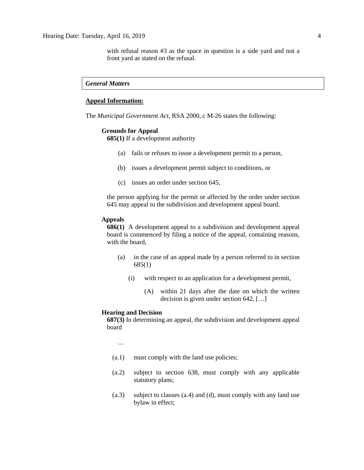with refusal reason #3 as the space in question is a side yard and not a front yard as stated on the refusal.

#### *General Matters*

## **Appeal Information:**

The *Municipal Government Act*, RSA 2000, c M-26 states the following:

#### **Grounds for Appeal**

**685(1)** If a development authority

- (a) fails or refuses to issue a development permit to a person,
- (b) issues a development permit subject to conditions, or
- (c) issues an order under section 645,

the person applying for the permit or affected by the order under section 645 may appeal to the subdivision and development appeal board.

#### **Appeals**

**686(1)** A development appeal to a subdivision and development appeal board is commenced by filing a notice of the appeal, containing reasons, with the board,

- (a) in the case of an appeal made by a person referred to in section 685(1)
	- (i) with respect to an application for a development permit,
		- (A) within 21 days after the date on which the written decision is given under section 642, […]

#### **Hearing and Decision**

**687(3)** In determining an appeal, the subdivision and development appeal board

…

- (a.1) must comply with the land use policies;
- (a.2) subject to section 638, must comply with any applicable statutory plans;
- (a.3) subject to clauses (a.4) and (d), must comply with any land use bylaw in effect;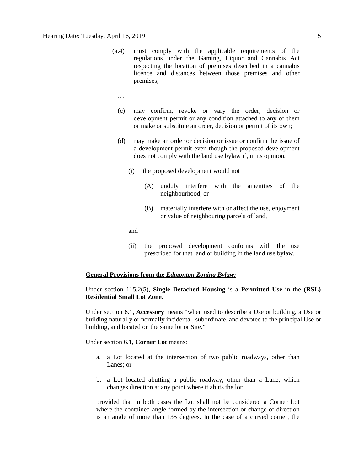- (a.4) must comply with the applicable requirements of the regulations under the Gaming, Liquor and Cannabis Act respecting the location of premises described in a cannabis licence and distances between those premises and other premises;
	- …
	- (c) may confirm, revoke or vary the order, decision or development permit or any condition attached to any of them or make or substitute an order, decision or permit of its own;
	- (d) may make an order or decision or issue or confirm the issue of a development permit even though the proposed development does not comply with the land use bylaw if, in its opinion,
		- (i) the proposed development would not
			- (A) unduly interfere with the amenities of the neighbourhood, or
			- (B) materially interfere with or affect the use, enjoyment or value of neighbouring parcels of land,

and

(ii) the proposed development conforms with the use prescribed for that land or building in the land use bylaw.

# **General Provisions from the** *Edmonton Zoning Bylaw:*

# Under section 115.2(5), **Single Detached Housing** is a **Permitted Use** in the **(RSL) Residential Small Lot Zone**.

Under section 6.1, **Accessory** means "when used to describe a Use or building, a Use or building naturally or normally incidental, subordinate, and devoted to the principal Use or building, and located on the same lot or Site."

Under section 6.1, **Corner Lot** means:

- a. a Lot located at the intersection of two public roadways, other than Lanes; or
- b. a Lot located abutting a public roadway, other than a Lane, which changes direction at any point where it abuts the lot;

provided that in both cases the Lot shall not be considered a Corner Lot where the contained angle formed by the intersection or change of direction is an angle of more than 135 degrees. In the case of a curved corner, the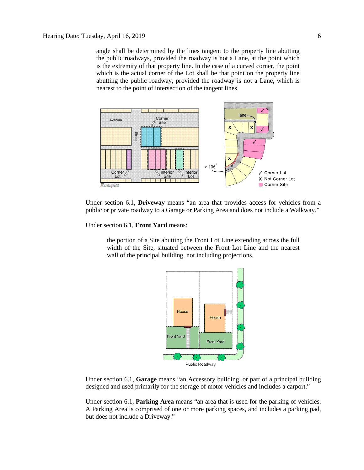angle shall be determined by the lines tangent to the property line abutting the public roadways, provided the roadway is not a Lane, at the point which is the extremity of that property line. In the case of a curved corner, the point which is the actual corner of the Lot shall be that point on the property line abutting the public roadway, provided the roadway is not a Lane, which is nearest to the point of intersection of the tangent lines.



Under section 6.1, **Driveway** means "an area that provides access for vehicles from a public or private roadway to a Garage or Parking Area and does not include a Walkway."

Under section 6.1, **Front Yard** means:

the portion of a Site abutting the Front Lot Line extending across the full width of the Site, situated between the Front Lot Line and the nearest wall of the principal building, not including projections.



Under section 6.1, **Garage** means "an Accessory building, or part of a principal building designed and used primarily for the storage of motor vehicles and includes a carport."

Under section 6.1, **Parking Area** means "an area that is used for the parking of vehicles. A Parking Area is comprised of one or more parking spaces, and includes a parking pad, but does not include a Driveway."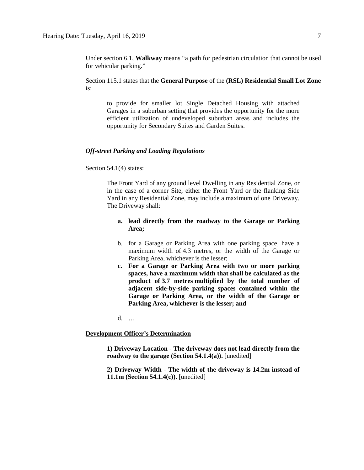Under section 6.1, **Walkway** means "a path for pedestrian circulation that cannot be used for vehicular parking."

Section 115.1 states that the **General Purpose** of the **(RSL) Residential Small Lot Zone**  is:

to provide for smaller lot Single Detached Housing with attached Garages in a suburban setting that provides the opportunity for the more efficient utilization of undeveloped suburban areas and includes the opportunity for Secondary Suites and Garden Suites.

# *Off-street Parking and Loading Regulations*

Section 54.1(4) states:

The Front Yard of any ground level Dwelling in any Residential Zone, or in the case of a corner Site, either the Front Yard or the flanking Side Yard in any Residential Zone, may include a maximum of one Driveway. The Driveway shall:

# **a. lead directly from the roadway to the Garage or Parking Area;**

- b. for a Garage or Parking Area with one parking space, have a maximum width of [4.3 me](javascript:void(0);)tres, or the width of the Garage or Parking Area, whichever is the lesser;
- **c. For a Garage or Parking Area with two or more parking spaces, have a maximum width that shall be calculated as the product of [3.7 me](javascript:void(0);)tres multiplied by the total number of adjacent side-by-side parking spaces contained within the Garage or Parking Area, or the width of the Garage or Parking Area, whichever is the lesser; and**

d. …

#### **Development Officer's Determination**

**1) Driveway Location - The driveway does not lead directly from the roadway to the garage (Section 54.1.4(a)).** [unedited]

**2) Driveway Width - The width of the driveway is 14.2m instead of 11.1m (Section 54.1.4(c)).** [unedited]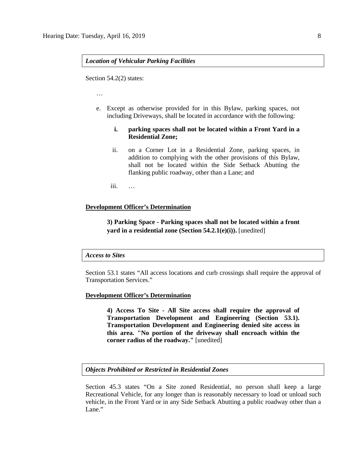#### *Location of Vehicular Parking Facilities*

Section 54.2(2) states:

…

e. Except as otherwise provided for in this Bylaw, parking spaces, not including Driveways, shall be located in accordance with the following:

## **i. parking spaces shall not be located within a Front Yard in a Residential Zone;**

- ii. on a Corner Lot in a Residential Zone, parking spaces, in addition to complying with the other provisions of this Bylaw, shall not be located within the Side Setback Abutting the flanking public roadway, other than a Lane; and
- iii. …

### **Development Officer's Determination**

**3) Parking Space - Parking spaces shall not be located within a front yard in a residential zone (Section 54.2.1(e)(i)).** [unedited]

#### *Access to Sites*

Section 53.1 states "All access locations and curb crossings shall require the approval of Transportation Services."

#### **Development Officer's Determination**

**4) Access To Site - All Site access shall require the approval of Transportation Development and Engineering (Section 53.1). Transportation Development and Engineering denied site access in this area. "No portion of the driveway shall encroach within the corner radius of the roadway."** [unedited]

#### *Objects Prohibited or Restricted in Residential Zones*

Section 45.3 states "On a Site zoned Residential, no person shall keep a large Recreational Vehicle, for any longer than is reasonably necessary to load or unload such vehicle, in the Front Yard or in any Side Setback Abutting a public roadway other than a Lane."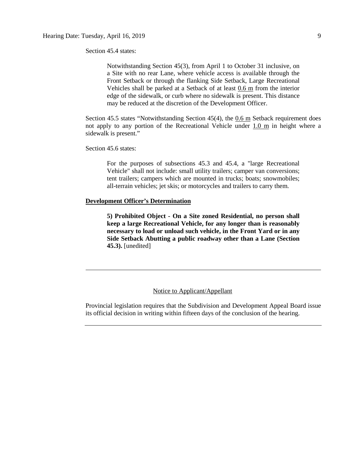Section 45.4 states:

Notwithstanding Section 45(3), from April 1 to October 31 inclusive, on a Site with no rear Lane, where vehicle access is available through the Front Setback or through the flanking Side Setback, Large Recreational Vehicles shall be parked at a Setback of at least 0.6 m from the interior edge of the sidewalk, or curb where no sidewalk is present. This distance may be reduced at the discretion of the Development Officer.

Section 45.5 states "Notwithstanding Section 45(4), the 0.6 m Setback requirement does not apply to any portion of the Recreational Vehicle under  $1.0 \text{ m}$  in height where a sidewalk is present."

Section 45.6 states:

For the purposes of subsections 45.3 and 45.4, a "large Recreational Vehicle" shall not include: small utility trailers; camper van conversions; tent trailers; campers which are mounted in trucks; boats; snowmobiles; all-terrain vehicles; jet skis; or motorcycles and trailers to carry them.

#### **Development Officer's Determination**

**5) Prohibited Object - On a Site zoned Residential, no person shall keep a large Recreational Vehicle, for any longer than is reasonably necessary to load or unload such vehicle, in the Front Yard or in any Side Setback Abutting a public roadway other than a Lane (Section 45.3).** [unedited]

## Notice to Applicant/Appellant

Provincial legislation requires that the Subdivision and Development Appeal Board issue its official decision in writing within fifteen days of the conclusion of the hearing.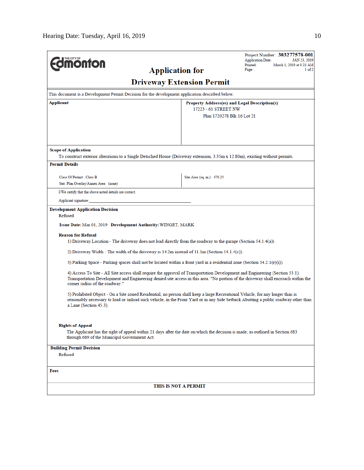|                                                                                                                                                                                                                                                                                                     |                                  | Project Number: 303277578-001<br><b>Application Date:</b><br>JAN 23, 2019 |  |  |  |
|-----------------------------------------------------------------------------------------------------------------------------------------------------------------------------------------------------------------------------------------------------------------------------------------------------|----------------------------------|---------------------------------------------------------------------------|--|--|--|
| <b>nonton</b><br><b>Application for</b>                                                                                                                                                                                                                                                             |                                  | Printed:<br>March 1, 2019 at 9:23 AM<br>Page:<br>$1$ of $2$               |  |  |  |
|                                                                                                                                                                                                                                                                                                     |                                  |                                                                           |  |  |  |
|                                                                                                                                                                                                                                                                                                     | <b>Driveway Extension Permit</b> |                                                                           |  |  |  |
| This document is a Development Permit Decision for the development application described below.                                                                                                                                                                                                     |                                  |                                                                           |  |  |  |
| Applicant<br>Property Address(es) and Legal Description(s)<br>17223 - 61 STREET NW                                                                                                                                                                                                                  |                                  |                                                                           |  |  |  |
|                                                                                                                                                                                                                                                                                                     | Plan 1720278 Blk 16 Lot 21       |                                                                           |  |  |  |
|                                                                                                                                                                                                                                                                                                     |                                  |                                                                           |  |  |  |
|                                                                                                                                                                                                                                                                                                     |                                  |                                                                           |  |  |  |
| <b>Scope of Application</b>                                                                                                                                                                                                                                                                         |                                  |                                                                           |  |  |  |
| To construct exterior alterations to a Single Detached House (Driveway extension, 3.35m x 12.80m), existing without permits.                                                                                                                                                                        |                                  |                                                                           |  |  |  |
| <b>Permit Details</b>                                                                                                                                                                                                                                                                               |                                  |                                                                           |  |  |  |
| Class Of Permit: Class B                                                                                                                                                                                                                                                                            | Site Area (sq. m.): 470.25       |                                                                           |  |  |  |
| Stat. Plan Overlay/Annex Area: (none)                                                                                                                                                                                                                                                               |                                  |                                                                           |  |  |  |
| I/We certify that the above noted details are correct.                                                                                                                                                                                                                                              |                                  |                                                                           |  |  |  |
| Applicant signature:                                                                                                                                                                                                                                                                                |                                  |                                                                           |  |  |  |
| <b>Development Application Decision</b><br>Refused                                                                                                                                                                                                                                                  |                                  |                                                                           |  |  |  |
| Issue Date: Mar 01, 2019 Development Authority: WINGET, MARK                                                                                                                                                                                                                                        |                                  |                                                                           |  |  |  |
| <b>Reason for Refusal</b>                                                                                                                                                                                                                                                                           |                                  |                                                                           |  |  |  |
| 1) Driveway Location - The driveway does not lead directly from the roadway to the garage (Section 54.1.4(a)).                                                                                                                                                                                      |                                  |                                                                           |  |  |  |
| 2) Driveway Width - The width of the driveway is $14.2m$ instead of $11.1m$ (Section $54.1.4(c)$ ).                                                                                                                                                                                                 |                                  |                                                                           |  |  |  |
| 3) Parking Space - Parking spaces shall not be located within a front yard in a residential zone (Section 54.2.1(e)(i)).                                                                                                                                                                            |                                  |                                                                           |  |  |  |
| 4) Access To Site - All Site access shall require the approval of Transportation Development and Engineering (Section 53.1).<br>Transportation Development and Engineering denied site access in this area. "No portion of the driveway shall encroach within the<br>corner radius of the roadway." |                                  |                                                                           |  |  |  |
| 5) Prohibited Object - On a Site zoned Residential, no person shall keep a large Recreational Vehicle, for any longer than is<br>reasonably necessary to load or unload such vehicle, in the Front Yard or in any Side Setback Abutting a public roadway other than<br>a Lane (Section 45.3).       |                                  |                                                                           |  |  |  |
| <b>Rights of Appeal</b>                                                                                                                                                                                                                                                                             |                                  |                                                                           |  |  |  |
| The Applicant has the right of appeal within 21 days after the date on which the decision is made, as outlined in Section 683<br>through 689 of the Municipal Government Act.                                                                                                                       |                                  |                                                                           |  |  |  |
| <b>Building Permit Decision</b>                                                                                                                                                                                                                                                                     |                                  |                                                                           |  |  |  |
| Refused                                                                                                                                                                                                                                                                                             |                                  |                                                                           |  |  |  |
| Fees                                                                                                                                                                                                                                                                                                |                                  |                                                                           |  |  |  |
|                                                                                                                                                                                                                                                                                                     | THIS IS NOT A PERMIT             |                                                                           |  |  |  |
|                                                                                                                                                                                                                                                                                                     |                                  |                                                                           |  |  |  |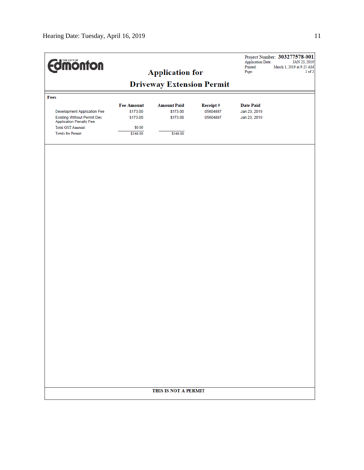| <b>Edinonton</b><br><b>Application for</b>                           |                                  |                                |                             | Project Number: 303277578-001<br><b>Application Date:</b><br>JAN 23, 2019<br>Printed:<br>March 1, 2019 at 9:23 AM<br>$2$ of $2$<br>Page: |  |
|----------------------------------------------------------------------|----------------------------------|--------------------------------|-----------------------------|------------------------------------------------------------------------------------------------------------------------------------------|--|
|                                                                      | <b>Driveway Extension Permit</b> |                                |                             |                                                                                                                                          |  |
| Fees                                                                 |                                  |                                |                             |                                                                                                                                          |  |
| <b>Development Application Fee</b>                                   | <b>Fee Amount</b><br>\$173.00    | <b>Amount Paid</b><br>\$173.00 | <b>Receipt#</b><br>05604887 | <b>Date Paid</b><br>Jan 23, 2019                                                                                                         |  |
| <b>Existing Without Permit Dev</b><br><b>Application Penalty Fee</b> | \$173.00                         | \$173.00                       | 05604887                    | Jan 23, 2019                                                                                                                             |  |
| <b>Total GST Amount:</b><br>Totals for Permit:                       | \$0.00<br>\$346.00               | \$346.00                       |                             |                                                                                                                                          |  |
|                                                                      |                                  |                                |                             |                                                                                                                                          |  |
|                                                                      |                                  |                                |                             |                                                                                                                                          |  |
|                                                                      |                                  |                                |                             |                                                                                                                                          |  |
|                                                                      |                                  |                                |                             |                                                                                                                                          |  |
|                                                                      |                                  |                                |                             |                                                                                                                                          |  |
|                                                                      |                                  |                                |                             |                                                                                                                                          |  |
|                                                                      |                                  |                                |                             |                                                                                                                                          |  |
|                                                                      |                                  |                                |                             |                                                                                                                                          |  |
|                                                                      |                                  |                                |                             |                                                                                                                                          |  |
|                                                                      |                                  |                                |                             |                                                                                                                                          |  |
|                                                                      |                                  |                                |                             |                                                                                                                                          |  |
|                                                                      |                                  |                                |                             |                                                                                                                                          |  |
|                                                                      |                                  |                                |                             |                                                                                                                                          |  |
|                                                                      |                                  |                                |                             |                                                                                                                                          |  |
|                                                                      |                                  |                                |                             |                                                                                                                                          |  |
|                                                                      |                                  | THIS IS NOT A PERMIT           |                             |                                                                                                                                          |  |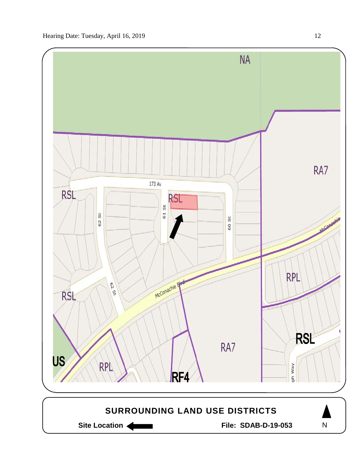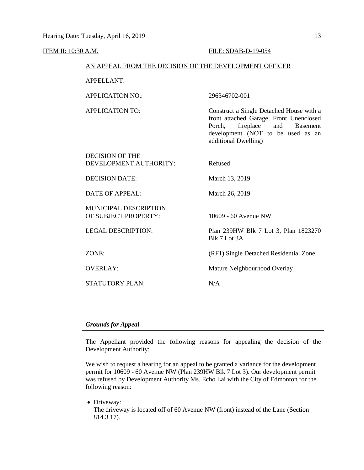#### ITEM II: 10:30 A.M. FILE: SDAB-D-19-054

#### AN APPEAL FROM THE DECISION OF THE DEVELOPMENT OFFICER

APPELLANT:

APPLICATION NO.: 296346702-001

APPLICATION TO: Construct a Single Detached House with a front attached Garage, Front Unenclosed Porch, fireplace and Basement development (NOT to be used as an additional Dwelling)

DECISION OF THE DEVELOPMENT AUTHORITY: Refused

DECISION DATE: March 13, 2019

DATE OF APPEAL: March 26, 2019

MUNICIPAL DESCRIPTION OF SUBJECT PROPERTY: 10609 - 60 Avenue NW

STATUTORY PLAN: N/A

LEGAL DESCRIPTION: Plan 239HW Blk 7 Lot 3, Plan 1823270 Blk 7 Lot 3A

ZONE: (RF1) Single Detached Residential Zone

OVERLAY: Mature Neighbourhood Overlay

#### *Grounds for Appeal*

The Appellant provided the following reasons for appealing the decision of the Development Authority:

We wish to request a hearing for an appeal to be granted a variance for the development permit for 10609 - 60 Avenue NW (Plan 239HW Blk 7 Lot 3). Our development permit was refused by Development Authority Ms. Echo Lai with the City of Edmonton for the following reason:

• Driveway:

The driveway is located off of 60 Avenue NW (front) instead of the Lane (Section 814.3.17).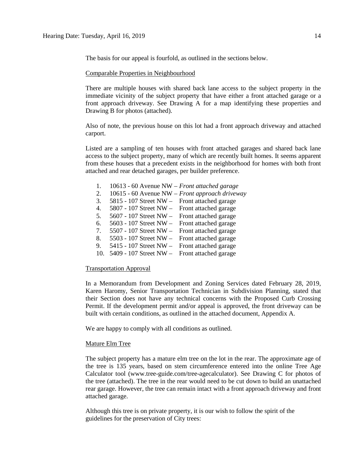The basis for our appeal is fourfold, as outlined in the sections below.

#### Comparable Properties in Neighbourhood

There are multiple houses with shared back lane access to the subject property in the immediate vicinity of the subject property that have either a front attached garage or a front approach driveway. See Drawing A for a map identifying these properties and Drawing B for photos (attached).

Also of note, the previous house on this lot had a front approach driveway and attached carport.

Listed are a sampling of ten houses with front attached garages and shared back lane access to the subject property, many of which are recently built homes. It seems apparent from these houses that a precedent exists in the neighborhood for homes with both front attached and rear detached garages, per builder preference.

- 1. 10613 60 Avenue NW *Front attached garage*
- 2. 10615 60 Avenue NW *Front approach driveway*
- 3. 5815 107 Street NW Front attached garage
- 4. 5807 107 Street NW Front attached garage
- 5. 5607 107 Street NW Front attached garage
- 6. 5603 107 Street NW Front attached garage
- 7. 5507 107 Street NW Front attached garage
- 8. 5503 107 Street NW Front attached garage 9. 5415 - 107 Street NW – Front attached garage
- 10. 5409 107 Street NW Front attached garage
- 

# Transportation Approval

In a Memorandum from Development and Zoning Services dated February 28, 2019, Karen Haromy, Senior Transportation Technician in Subdivision Planning, stated that their Section does not have any technical concerns with the Proposed Curb Crossing Permit. If the development permit and/or appeal is approved, the front driveway can be built with certain conditions, as outlined in the attached document, Appendix A.

We are happy to comply with all conditions as outlined.

### Mature Elm Tree

The subject property has a mature elm tree on the lot in the rear. The approximate age of the tree is 135 years, based on stem circumference entered into the online Tree Age Calculator tool (www.tree-guide.com/tree-agecalculator). See Drawing C for photos of the tree (attached). The tree in the rear would need to be cut down to build an unattached rear garage. However, the tree can remain intact with a front approach driveway and front attached garage.

Although this tree is on private property, it is our wish to follow the spirit of the guidelines for the preservation of City trees: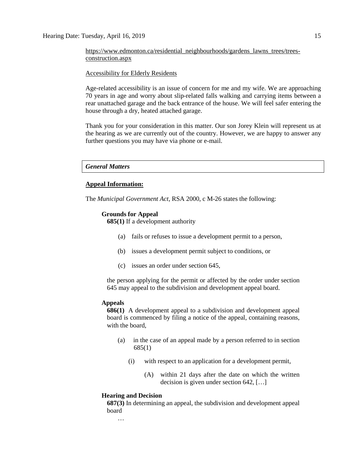[https://www.edmonton.ca/residential\\_neighbourhoods/gardens\\_lawns\\_trees/trees](https://www.edmonton.ca/residential_neighbourhoods/gardens_lawns_trees/trees-construction.aspx)[construction.aspx](https://www.edmonton.ca/residential_neighbourhoods/gardens_lawns_trees/trees-construction.aspx)

#### Accessibility for Elderly Residents

Age-related accessibility is an issue of concern for me and my wife. We are approaching 70 years in age and worry about slip-related falls walking and carrying items between a rear unattached garage and the back entrance of the house. We will feel safer entering the house through a dry, heated attached garage.

Thank you for your consideration in this matter. Our son Jorey Klein will represent us at the hearing as we are currently out of the country. However, we are happy to answer any further questions you may have via phone or e-mail.

## *General Matters*

## **Appeal Information:**

The *Municipal Government Act*, RSA 2000, c M-26 states the following:

#### **Grounds for Appeal**

**685(1)** If a development authority

- (a) fails or refuses to issue a development permit to a person,
- (b) issues a development permit subject to conditions, or
- (c) issues an order under section 645,

the person applying for the permit or affected by the order under section 645 may appeal to the subdivision and development appeal board.

#### **Appeals**

**686(1)** A development appeal to a subdivision and development appeal board is commenced by filing a notice of the appeal, containing reasons, with the board,

- (a) in the case of an appeal made by a person referred to in section 685(1)
	- (i) with respect to an application for a development permit,
		- (A) within 21 days after the date on which the written decision is given under section 642, […]

### **Hearing and Decision**

…

**687(3)** In determining an appeal, the subdivision and development appeal board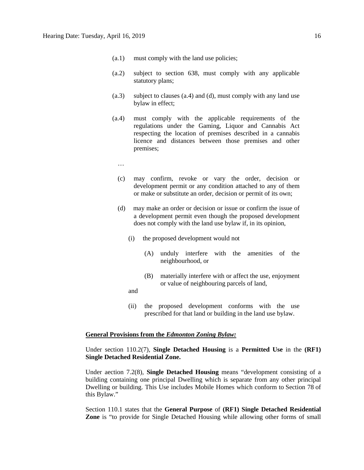- (a.1) must comply with the land use policies;
- (a.2) subject to section 638, must comply with any applicable statutory plans;
- (a.3) subject to clauses (a.4) and (d), must comply with any land use bylaw in effect;
- (a.4) must comply with the applicable requirements of the regulations under the Gaming, Liquor and Cannabis Act respecting the location of premises described in a cannabis licence and distances between those premises and other premises;
	- …
	- (c) may confirm, revoke or vary the order, decision or development permit or any condition attached to any of them or make or substitute an order, decision or permit of its own;
	- (d) may make an order or decision or issue or confirm the issue of a development permit even though the proposed development does not comply with the land use bylaw if, in its opinion,
		- (i) the proposed development would not
			- (A) unduly interfere with the amenities of the neighbourhood, or
			- (B) materially interfere with or affect the use, enjoyment or value of neighbouring parcels of land,
		- and
		- (ii) the proposed development conforms with the use prescribed for that land or building in the land use bylaw.

#### **General Provisions from the** *Edmonton Zoning Bylaw:*

# Under section 110.2(7), **Single Detached Housing** is a **Permitted Use** in the **(RF1) Single Detached Residential Zone.**

Under aection 7.2(8), **Single Detached Housing** means "development consisting of a building containing one principal Dwelling which is separate from any other principal Dwelling or building. This Use includes Mobile Homes which conform to [Section 78](https://webdocs.edmonton.ca/InfraPlan/zoningbylaw/ZoningBylaw/Part1/Special_Land/78__Mobile_Homes.htm) of this Bylaw."

Section 110.1 states that the **General Purpose** of **(RF1) Single Detached Residential Zone** is "to provide for Single Detached Housing while allowing other forms of small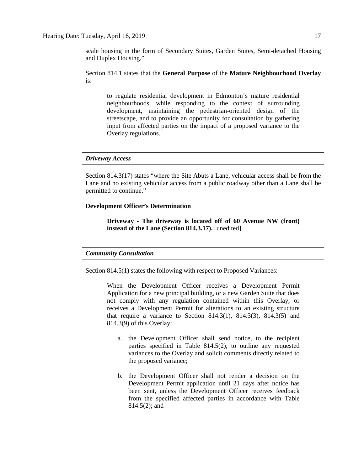scale housing in the form of Secondary Suites, Garden Suites, Semi-detached Housing and Duplex Housing."

Section 814.1 states that the **General Purpose** of the **Mature Neighbourhood Overlay**  is:

to regulate residential development in Edmonton's mature residential neighbourhoods, while responding to the context of surrounding development, maintaining the pedestrian-oriented design of the streetscape, and to provide an opportunity for consultation by gathering input from affected parties on the impact of a proposed variance to the Overlay regulations.

#### *Driveway Access*

Section 814.3(17) states "where the Site Abuts a Lane, vehicular access shall be from the Lane and no existing vehicular access from a public roadway other than a Lane shall be permitted to continue."

# **Development Officer's Determination**

**Driveway - The driveway is located off of 60 Avenue NW (front) instead of the Lane (Section 814.3.17).** [unedited]

#### *Community Consultation*

Section 814.5(1) states the following with respect to Proposed Variances:

When the Development Officer receives a Development Permit Application for a new principal building, or a new Garden Suite that does not comply with any regulation contained within this Overlay, or receives a Development Permit for alterations to an existing structure that require a variance to Section 814.3(1), 814.3(3), 814.3(5) and 814.3(9) of this Overlay:

- a. the Development Officer shall send notice, to the recipient parties specified in Table 814.5(2), to outline any requested variances to the Overlay and solicit comments directly related to the proposed variance;
- b. the Development Officer shall not render a decision on the Development Permit application until 21 days after notice has been sent, unless the Development Officer receives feedback from the specified affected parties in accordance with Table 814.5(2); and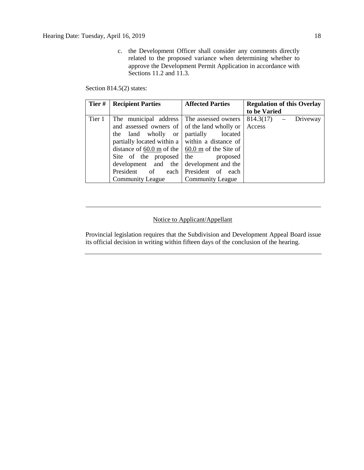c. the Development Officer shall consider any comments directly related to the proposed variance when determining whether to approve the Development Permit Application in accordance with Sections 11.2 and 11.3.

Section 814.5(2) states:

| Tier#  | <b>Recipient Parties</b>                                | <b>Affected Parties</b> | <b>Regulation of this Overlay</b> |  |
|--------|---------------------------------------------------------|-------------------------|-----------------------------------|--|
|        |                                                         |                         | to be Varied                      |  |
| Tier 1 | The municipal address The assessed owners               |                         | $814.3(17) -$<br>Driveway         |  |
|        | and assessed owners of of the land wholly or            |                         | Access                            |  |
|        | the land wholly or                                      | partially<br>located    |                                   |  |
|        | partially located within a $\vert$ within a distance of |                         |                                   |  |
|        | distance of 60.0 m of the $\vert$ 60.0 m of the Site of |                         |                                   |  |
|        | Site of the proposed                                    | the<br>proposed         |                                   |  |
|        | development and the                                     | development and the     |                                   |  |
|        | President of                                            | each President of each  |                                   |  |
|        | <b>Community League</b>                                 | <b>Community League</b> |                                   |  |

# Notice to Applicant/Appellant

Provincial legislation requires that the Subdivision and Development Appeal Board issue its official decision in writing within fifteen days of the conclusion of the hearing.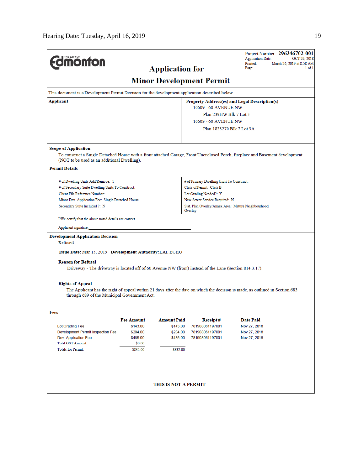| <b>dimonton</b>                                                                                                                     |                      | <b>Application for</b> |                                               | Project Number: 296346702-001<br><b>Application Date:</b><br>OCT 29, 2018<br>Printed:<br>March 26, 2019 at 8:58 AM<br>Page:<br>1 of 1 |  |  |
|-------------------------------------------------------------------------------------------------------------------------------------|----------------------|------------------------|-----------------------------------------------|---------------------------------------------------------------------------------------------------------------------------------------|--|--|
|                                                                                                                                     |                      |                        | <b>Minor Development Permit</b>               |                                                                                                                                       |  |  |
| This document is a Development Permit Decision for the development application described below.                                     |                      |                        |                                               |                                                                                                                                       |  |  |
| Applicant                                                                                                                           |                      |                        | Property Address(es) and Legal Description(s) |                                                                                                                                       |  |  |
|                                                                                                                                     |                      |                        | 10609 - 60 AVENUE NW                          |                                                                                                                                       |  |  |
|                                                                                                                                     |                      |                        | Plan 239HW Blk 7 Lot 3                        |                                                                                                                                       |  |  |
|                                                                                                                                     |                      |                        | 10609 - 60 AVENUE NW                          |                                                                                                                                       |  |  |
|                                                                                                                                     |                      |                        | Plan 1823270 Blk 7 Lot 3A                     |                                                                                                                                       |  |  |
| <b>Scope of Application</b>                                                                                                         |                      |                        |                                               |                                                                                                                                       |  |  |
| (NOT to be used as an additional Dwelling).                                                                                         |                      |                        |                                               | To construct a Single Detached House with a front attached Garage, Front Unenclosed Porch, fireplace and Basement development         |  |  |
| <b>Permit Details</b>                                                                                                               |                      |                        |                                               |                                                                                                                                       |  |  |
| # of Dwelling Units Add/Remove: 1                                                                                                   |                      |                        | # of Primary Dwelling Units To Construct:     |                                                                                                                                       |  |  |
| # of Secondary Suite Dwelling Units To Construct:                                                                                   |                      |                        | Class of Permit: Class B                      |                                                                                                                                       |  |  |
| Client File Reference Number:                                                                                                       |                      |                        | Lot Grading Needed?: Y                        |                                                                                                                                       |  |  |
| Minor Dev. Application Fee: Single Detached House                                                                                   |                      |                        | New Sewer Service Required: N                 |                                                                                                                                       |  |  |
| Secondary Suite Included ?: N                                                                                                       |                      |                        |                                               | Stat. Plan Overlay/Annex Area: Mature Neighbourhood<br>Overlay                                                                        |  |  |
| I/We certify that the above noted details are correct.                                                                              |                      |                        |                                               |                                                                                                                                       |  |  |
| Applicant signature:                                                                                                                |                      |                        |                                               |                                                                                                                                       |  |  |
| <b>Development Application Decision</b><br>Refused                                                                                  |                      |                        |                                               |                                                                                                                                       |  |  |
| Issue Date: Mar 13, 2019 Development Authority: LAI, ECHO                                                                           |                      |                        |                                               |                                                                                                                                       |  |  |
| <b>Reason for Refusal</b><br>Driveway - The driveway is located off of 60 Avenue NW (front) instead of the Lane (Section 814.3.17). |                      |                        |                                               |                                                                                                                                       |  |  |
| <b>Rights of Appeal</b><br>through 689 of the Municipal Government Act.                                                             |                      |                        |                                               | The Applicant has the right of appeal within 21 days after the date on which the decision is made, as outlined in Section 683         |  |  |
| Fees                                                                                                                                |                      |                        |                                               |                                                                                                                                       |  |  |
|                                                                                                                                     | <b>Fee Amount</b>    | <b>Amount Paid</b>     | Receipt#                                      | <b>Date Paid</b>                                                                                                                      |  |  |
| Lot Grading Fee<br>Development Permit Inspection Fee                                                                                | \$143.00<br>\$204.00 | \$143.00<br>\$204.00   | 781908061197001<br>781908061197001            | Nov 27, 2018<br>Nov 27, 2018                                                                                                          |  |  |
| Dev. Application Fee                                                                                                                | \$485.00             | \$485.00               | 781908061197001                               | Nov 27, 2018                                                                                                                          |  |  |
| <b>Total GST Amount:</b>                                                                                                            | \$0.00               |                        |                                               |                                                                                                                                       |  |  |
| <b>Totals for Permit:</b>                                                                                                           | \$832.00             | \$832.00               |                                               |                                                                                                                                       |  |  |
|                                                                                                                                     |                      |                        |                                               |                                                                                                                                       |  |  |
|                                                                                                                                     |                      | THIS IS NOT A PERMIT   |                                               |                                                                                                                                       |  |  |